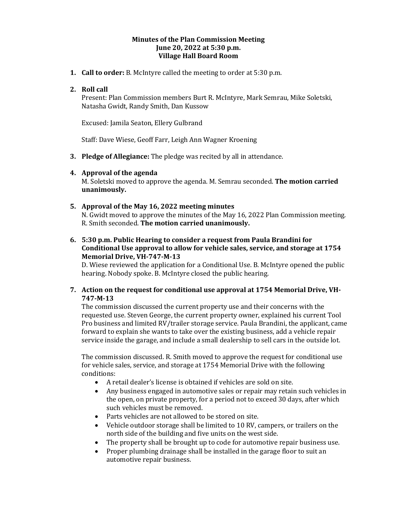### **Minutes of the Plan Commission Meeting June 20, 2022 at 5:30 p.m. Village Hall Board Room**

**1. Call to order:** B. McIntyre called the meeting to order at 5:30 p.m.

# **2. Roll call**

Present: Plan Commission members Burt R. McIntyre, Mark Semrau, Mike Soletski, Natasha Gwidt, Randy Smith, Dan Kussow

Excused: Jamila Seaton, Ellery Gulbrand

Staff: Dave Wiese, Geoff Farr, Leigh Ann Wagner Kroening

**3. Pledge of Allegiance:** The pledge was recited by all in attendance.

## **4. Approval of the agenda**

M. Soletski moved to approve the agenda. M. Semrau seconded. **The motion carried unanimously.** 

### **5. Approval of the May 16, 2022 meeting minutes**

N. Gwidt moved to approve the minutes of the May 16, 2022 Plan Commission meeting. R. Smith seconded. **The motion carried unanimously.**

**6. 5:30 p.m. Public Hearing to consider a request from Paula Brandini for Conditional Use approval to allow for vehicle sales, service, and storage at 1754 Memorial Drive, VH-747-M-13**

D. Wiese reviewed the application for a Conditional Use. B. McIntyre opened the public hearing. Nobody spoke. B. McIntyre closed the public hearing.

**7. Action on the request for conditional use approval at 1754 Memorial Drive, VH-747-M-13**

The commission discussed the current property use and their concerns with the requested use. Steven George, the current property owner, explained his current Tool Pro business and limited RV/trailer storage service. Paula Brandini, the applicant, came forward to explain she wants to take over the existing business, add a vehicle repair service inside the garage, and include a small dealership to sell cars in the outside lot.

The commission discussed. R. Smith moved to approve the request for conditional use for vehicle sales, service, and storage at 1754 Memorial Drive with the following conditions:

- A retail dealer's license is obtained if vehicles are sold on site.
- Any business engaged in automotive sales or repair may retain such vehicles in the open, on private property, for a period not to exceed 30 days, after which such vehicles must be removed.
- Parts vehicles are not allowed to be stored on site.
- Vehicle outdoor storage shall be limited to 10 RV, campers, or trailers on the north side of the building and five units on the west side.
- The property shall be brought up to code for automotive repair business use.
- Proper plumbing drainage shall be installed in the garage floor to suit an automotive repair business.